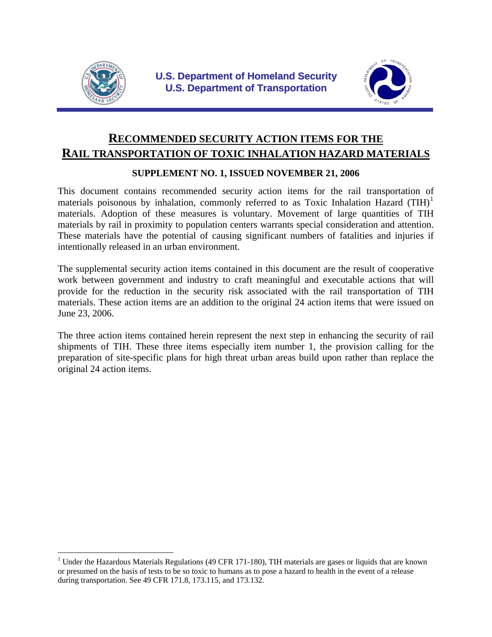

 $\overline{a}$ 



# **RECOMMENDED SECURITY ACTION ITEMS FOR THE RAIL TRANSPORTATION OF TOXIC INHALATION HAZARD MATERIALS**

#### **SUPPLEMENT NO. 1, ISSUED NOVEMBER 21, 2006**

This document contains recommended security action items for the rail transportation of materials poisonous by inhalation, commonly referred to as Toxic Inhalation Hazard  $(THH)^1$  $(THH)^1$ materials. Adoption of these measures is voluntary. Movement of large quantities of TIH materials by rail in proximity to population centers warrants special consideration and attention. These materials have the potential of causing significant numbers of fatalities and injuries if intentionally released in an urban environment.

The supplemental security action items contained in this document are the result of cooperative work between government and industry to craft meaningful and executable actions that will provide for the reduction in the security risk associated with the rail transportation of TIH materials. These action items are an addition to the original 24 action items that were issued on June 23, 2006.

The three action items contained herein represent the next step in enhancing the security of rail shipments of TIH. These three items especially item number 1, the provision calling for the preparation of site-specific plans for high threat urban areas build upon rather than replace the original 24 action items.

<span id="page-0-0"></span><sup>&</sup>lt;sup>1</sup> Under the Hazardous Materials Regulations (49 CFR 171-180), TIH materials are gases or liquids that are known or presumed on the basis of tests to be so toxic to humans as to pose a hazard to health in the event of a release during transportation. See 49 CFR 171.8, 173.115, and 173.132.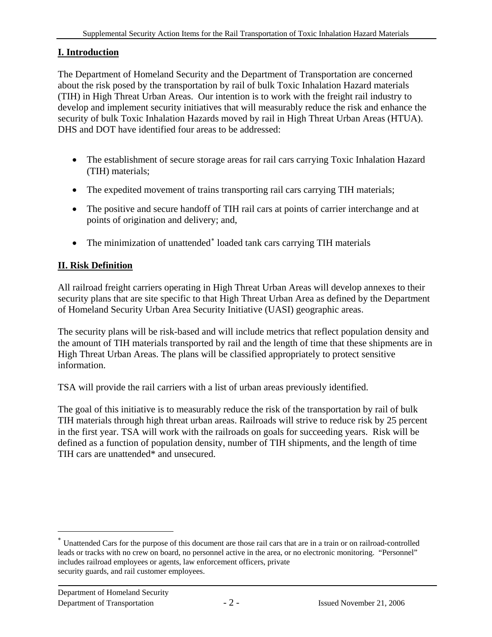# **I. Introduction**

The Department of Homeland Security and the Department of Transportation are concerned about the risk posed by the transportation by rail of bulk Toxic Inhalation Hazard materials (TIH) in High Threat Urban Areas. Our intention is to work with the freight rail industry to develop and implement security initiatives that will measurably reduce the risk and enhance the security of bulk Toxic Inhalation Hazards moved by rail in High Threat Urban Areas (HTUA). DHS and DOT have identified four areas to be addressed:

- The establishment of secure storage areas for rail cars carrying Toxic Inhalation Hazard (TIH) materials;
- The expedited movement of trains transporting rail cars carrying TIH materials;
- The positive and secure handoff of TIH rail cars at points of carrier interchange and at points of origination and delivery; and,
- The minimization of unattended[∗](#page-1-0) loaded tank cars carrying TIH materials

# **II. Risk Definition**

All railroad freight carriers operating in High Threat Urban Areas will develop annexes to their security plans that are site specific to that High Threat Urban Area as defined by the Department of Homeland Security Urban Area Security Initiative (UASI) geographic areas.

The security plans will be risk-based and will include metrics that reflect population density and the amount of TIH materials transported by rail and the length of time that these shipments are in High Threat Urban Areas. The plans will be classified appropriately to protect sensitive information.

TSA will provide the rail carriers with a list of urban areas previously identified.

The goal of this initiative is to measurably reduce the risk of the transportation by rail of bulk TIH materials through high threat urban areas. Railroads will strive to reduce risk by 25 percent in the first year. TSA will work with the railroads on goals for succeeding years. Risk will be defined as a function of population density, number of TIH shipments, and the length of time TIH cars are unattended\* and unsecured.

 $\overline{a}$ 

<span id="page-1-0"></span><sup>∗</sup> Unattended Cars for the purpose of this document are those rail cars that are in a train or on railroad-controlled leads or tracks with no crew on board, no personnel active in the area, or no electronic monitoring. "Personnel" includes railroad employees or agents, law enforcement officers, private security guards, and rail customer employees.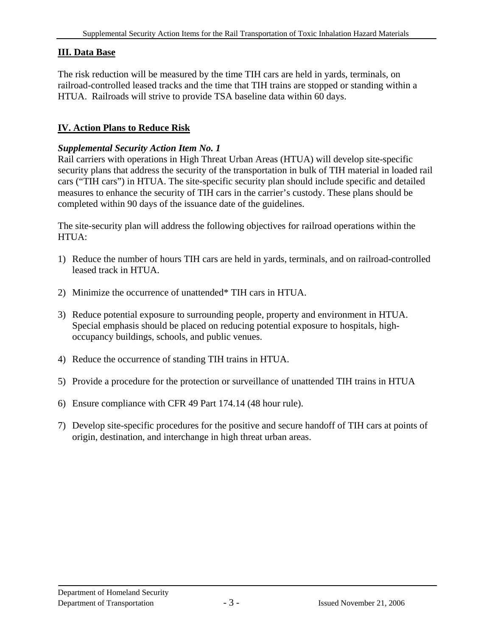#### **III. Data Base**

The risk reduction will be measured by the time TIH cars are held in yards, terminals, on railroad-controlled leased tracks and the time that TIH trains are stopped or standing within a HTUA. Railroads will strive to provide TSA baseline data within 60 days.

#### **IV. Action Plans to Reduce Risk**

#### *Supplemental Security Action Item No. 1*

Rail carriers with operations in High Threat Urban Areas (HTUA) will develop site-specific security plans that address the security of the transportation in bulk of TIH material in loaded rail cars ("TIH cars") in HTUA. The site-specific security plan should include specific and detailed measures to enhance the security of TIH cars in the carrier's custody. These plans should be completed within 90 days of the issuance date of the guidelines.

The site-security plan will address the following objectives for railroad operations within the HTUA:

- 1) Reduce the number of hours TIH cars are held in yards, terminals, and on railroad-controlled leased track in HTUA.
- 2) Minimize the occurrence of unattended\* TIH cars in HTUA.
- 3) Reduce potential exposure to surrounding people, property and environment in HTUA. Special emphasis should be placed on reducing potential exposure to hospitals, highoccupancy buildings, schools, and public venues.
- 4) Reduce the occurrence of standing TIH trains in HTUA.
- 5) Provide a procedure for the protection or surveillance of unattended TIH trains in HTUA
- 6) Ensure compliance with CFR 49 Part 174.14 (48 hour rule).
- 7) Develop site-specific procedures for the positive and secure handoff of TIH cars at points of origin, destination, and interchange in high threat urban areas.